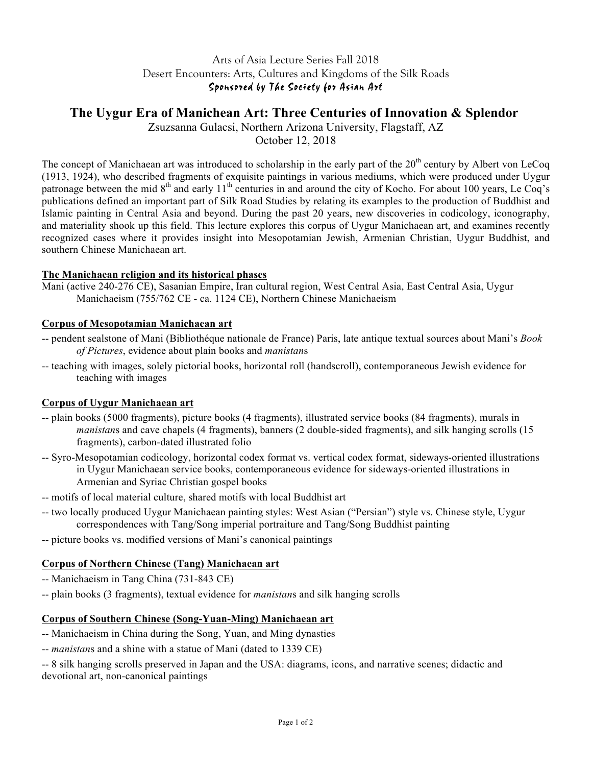## Arts of Asia Lecture Series Fall 2018 Desert Encounters: Arts, Cultures and Kingdoms of the Silk Roads Sponsored by The Society for Asian Art

# **The Uygur Era of Manichean Art: Three Centuries of Innovation & Splendor**

Zsuzsanna Gulacsi, Northern Arizona University, Flagstaff, AZ

October 12, 2018

The concept of Manichaean art was introduced to scholarship in the early part of the  $20<sup>th</sup>$  century by Albert von LeCoq (1913, 1924), who described fragments of exquisite paintings in various mediums, which were produced under Uygur patronage between the mid  $8<sup>th</sup>$  and early  $11<sup>th</sup>$  centuries in and around the city of Kocho. For about 100 years, Le Coq's publications defined an important part of Silk Road Studies by relating its examples to the production of Buddhist and Islamic painting in Central Asia and beyond. During the past 20 years, new discoveries in codicology, iconography, and materiality shook up this field. This lecture explores this corpus of Uygur Manichaean art, and examines recently recognized cases where it provides insight into Mesopotamian Jewish, Armenian Christian, Uygur Buddhist, and southern Chinese Manichaean art.

### **The Manichaean religion and its historical phases**

Mani (active 240-276 CE), Sasanian Empire, Iran cultural region, West Central Asia, East Central Asia, Uygur Manichaeism (755/762 CE - ca. 1124 CE), Northern Chinese Manichaeism

### **Corpus of Mesopotamian Manichaean art**

- -- pendent sealstone of Mani (Bibliothéque nationale de France) Paris, late antique textual sources about Mani's *Book of Pictures*, evidence about plain books and *manistan*s
- -- teaching with images, solely pictorial books, horizontal roll (handscroll), contemporaneous Jewish evidence for teaching with images

#### **Corpus of Uygur Manichaean art**

- -- plain books (5000 fragments), picture books (4 fragments), illustrated service books (84 fragments), murals in *manistan*s and cave chapels (4 fragments), banners (2 double-sided fragments), and silk hanging scrolls (15 fragments), carbon-dated illustrated folio
- -- Syro-Mesopotamian codicology, horizontal codex format vs. vertical codex format, sideways-oriented illustrations in Uygur Manichaean service books, contemporaneous evidence for sideways-oriented illustrations in Armenian and Syriac Christian gospel books
- -- motifs of local material culture, shared motifs with local Buddhist art
- -- two locally produced Uygur Manichaean painting styles: West Asian ("Persian") style vs. Chinese style, Uygur correspondences with Tang/Song imperial portraiture and Tang/Song Buddhist painting
- -- picture books vs. modified versions of Mani's canonical paintings

### **Corpus of Northern Chinese (Tang) Manichaean art**

- -- Manichaeism in Tang China (731-843 CE)
- -- plain books (3 fragments), textual evidence for *manistan*s and silk hanging scrolls

### **Corpus of Southern Chinese (Song-Yuan-Ming) Manichaean art**

- -- Manichaeism in China during the Song, Yuan, and Ming dynasties
- -- *manistan*s and a shine with a statue of Mani (dated to 1339 CE)

-- 8 silk hanging scrolls preserved in Japan and the USA: diagrams, icons, and narrative scenes; didactic and devotional art, non-canonical paintings